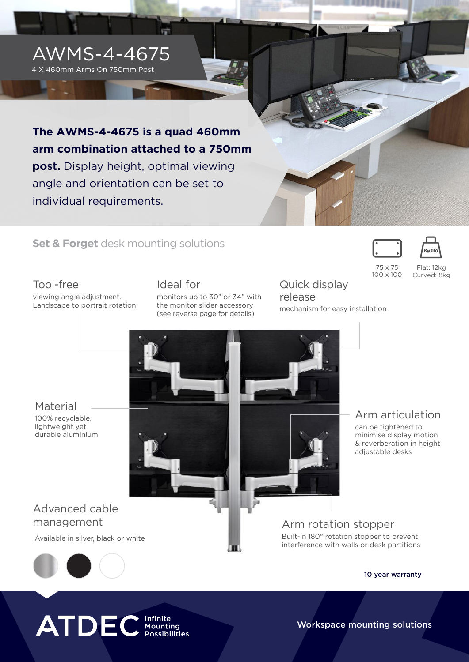

## **Set & Forget** desk mounting solutions

Tool-free

viewing angle adjustment. Landscape to portrait rotation Ideal for monitors up to 30" or 34" with the monitor slider accessory (see reverse page for details)

Quick display release mechanism for easy installation

75 x 75 100 x 100

Flat: 12kg Curved: 8kg

**Material** 100% recyclable, lightweight yet durable aluminium



# Advanced cable management

Available in silver, black or white

Arm rotation stopper Built-in 180° rotation stopper to prevent interference with walls or desk partitions



10 year warranty

Arm articulation

can be tightened to minimise display motion & reverberation in height

adjustable desks



Workspace mounting solutions